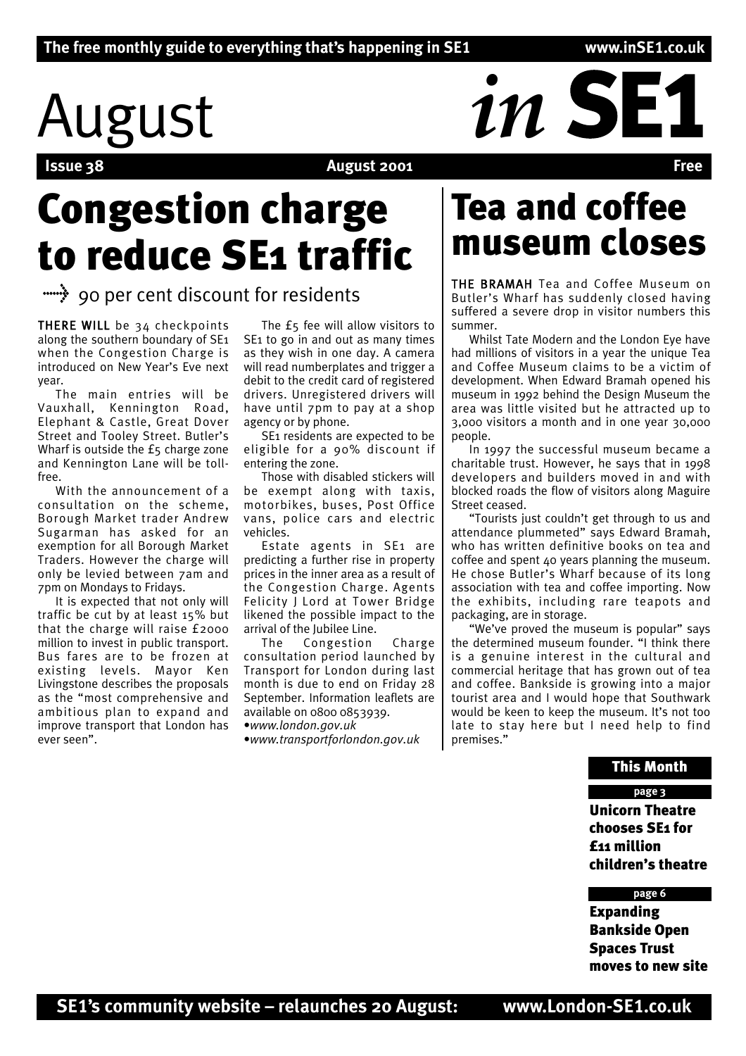# The free monthly guide to everything that's happening in SE1 www.inSE1.co.uk<br> **August 2001**<br>
ISSUE 38

## **August 2001**

# **Congestion charge to reduce SE1 traffic**

THERE WILL be 34 checkpoints along the southern boundary of SE1 when the Congestion Charge is introduced on New Year's Eve next year.

The main entries will be Vauxhall, Kennington Road, Elephant & Castle, Great Dover Street and Tooley Street. Butler's Wharf is outside the £5 charge zone and Kennington Lane will be tollfree.

With the announcement of a consultation on the scheme, Borough Market trader Andrew Sugarman has asked for an exemption for all Borough Market Traders. However the charge will only be levied between 7am and 7pm on Mondays to Fridays.

It is expected that not only will traffic be cut by at least 15% but that the charge will raise £2000 million to invest in public transport. Bus fares are to be frozen at existing levels. Mayor Ken Livingstone describes the proposals as the "most comprehensive and ambitious plan to expand and improve transport that London has ever seen".

The £5 fee will allow visitors to SE<sub>1</sub> to go in and out as many times as they wish in one day. A camera will read numberplates and trigger a debit to the credit card of registered drivers. Unregistered drivers will have until 7pm to pay at a shop agency or by phone.

SE1 residents are expected to be eligible for a 90% discount if entering the zone.

Those with disabled stickers will be exempt along with taxis, motorbikes, buses, Post Office vans, police cars and electric vehicles.

Estate agents in SE1 are predicting a further rise in property prices in the inner area as a result of the Congestion Charge. Agents Felicity J Lord at Tower Bridge likened the possible impact to the arrival of the Jubilee Line.

The Congestion Charge consultation period launched by Transport for London during last month is due to end on Friday 28 September. Information leaflets are available on 0800 0853939. •*www.london.gov.uk*

•*www.transportforlondon.gov.uk*

# **Tea and coffee museum closes**

THE BRAMAH Tea and Coffee Museum on THE BRAMAH Tea and Coffee Museum on THE BRAMAH Tea and Coffee Museum on The Suldenty Closed having Butler's Wharf has suddenly closed having suffered a severe drop in visitor numbers this summer.

Whilst Tate Modern and the London Eye have had millions of visitors in a year the unique Tea and Coffee Museum claims to be a victim of development. When Edward Bramah opened his museum in 1992 behind the Design Museum the area was little visited but he attracted up to 3,000 visitors a month and in one year 30,000 people.

In 1997 the successful museum became a charitable trust. However, he says that in 1998 developers and builders moved in and with blocked roads the flow of visitors along Maguire Street ceased.

"Tourists just couldn't get through to us and attendance plummeted" says Edward Bramah, who has written definitive books on tea and coffee and spent 40 years planning the museum. He chose Butler's Wharf because of its long association with tea and coffee importing. Now the exhibits, including rare teapots and packaging, are in storage.

"We've proved the museum is popular" says the determined museum founder. "I think there is a genuine interest in the cultural and commercial heritage that has grown out of tea and coffee. Bankside is growing into a major tourist area and I would hope that Southwark would be keen to keep the museum. It's not too late to stay here but I need help to find premises."

## **This Month**

**Unicorn Theatre chooses SE1 for £11 million children's theatre page 3**

## **page 6**

**Expanding Bankside Open Spaces Trust moves to new site**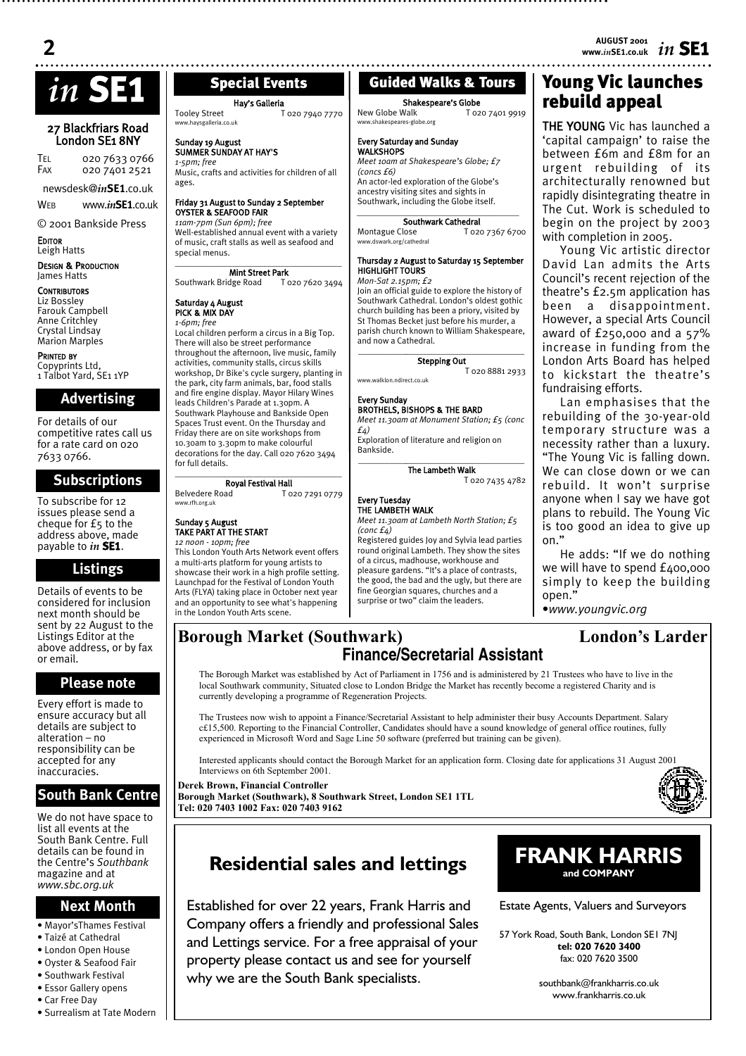## **2**

# *in* **SE1**

## 27 Blackfriars Road London SE1 8NY

TEL 020 7633 0766 FAX 020 7401 2521

newsdesk@*in***SE1**.co.uk

WEB www.*in***SE1**.co.uk

© 2001 Bankside Press

#### **EDITOR** Leigh Hatts

DESIGN & PRODUCTION James Hatts

#### **CONTRIBUTORS**

Liz Bossley Farouk Campbell Anne Critchley Crystal Lindsay Marion Marples

PRINTED BY Copyprints Ltd,

1 Talbot Yard, SE1 1YP

## **Advertising**

For details of our competitive rates call us for a rate card on 020 7633 0766.

## **Subscriptions**

To subscribe for 12 issues please send a cheque for £5 to the address above, made payable to *in* **SE1**.

## **Listings**

Details of events to be considered for inclusion next month should be sent by 22 August to the Listings Editor at the above address, or by fax or email.

## **Please note**

Every effort is made to ensure accuracy but all details are subject to alteration – no responsibility can be accepted for any inaccuracies.

## **South Bank Centre**

We do not have space to list all events at the South Bank Centre. Full details can be found in the Centre's *Southbank* magazine and at *www.sbc.org.uk*

## **Next Month**

- Mayor'sThames Festival
- Taizé at Cathedral
- London Open House
- Oyster & Seafood Fair
- Southwark Festival
- Essor Gallery opens • Car Free Day
- Surrealism at Tate Modern

## **Special Events Guided Walks & Tours**

## Hay's Galleria

Tooley Street T 020 7940 7770 ,<br>aysgalleria.co.uk

#### Sunday 19 August SUMMER SUNDAY AT HAY'S

*1-5pm; free* Music, crafts and activities for children of all ages.

## Friday 31 August to Sunday 2 September OYSTER & SEAFOOD FAIR

*11am-7pm (Sun 6pm); free* Well-established annual event with a variety of music, craft stalls as well as seafood and special menus.  $\mathcal{L}_\text{max}$  and  $\mathcal{L}_\text{max}$  and  $\mathcal{L}_\text{max}$  and  $\mathcal{L}_\text{max}$ 

#### Mint Street Park Southwark Bridge Road T 020 7620 3494

Saturday & August PICK & MIX DAY

*1-6pm; free* Local children perform a circus in a Big Top. There will also be street performance throughout the afternoon, live music, family activities, community stalls, circus skills workshop, Dr Bike's cycle surgery, planting in the park, city farm animals, bar, food stalls and fire engine display. Mayor Hilary Wines leads Children's Parade at 1.30pm. A Southwark Playhouse and Bankside Open Spaces Trust event. On the Thursday and Friday there are on site workshops from 10.30am to 3.30pm to make colourful decorations for the day. Call 020 7620 3494 for full details.

#### Royal Festival Hall Belvedere Road T 020 7291 0779

.<br>rfh.org.uk

## Sunday 5 August TAKE PART AT THE START

*12 noon - 10pm; free* This London Youth Arts Network event offers a multi-arts platform for young artists to showcase their work in a high profile setting. Launchpad for the Festival of London Youth Arts (FLYA) taking place in October next year and an opportunity to see what's happening in the London Youth Arts scene.

**Derek Brown, Financial Controller**

**Tel: 020 7403 1002 Fax: 020 7403 9162**

## 

## Shakespeare's Globe

New Globe Walk T 020 7401 9919 www.shakespeares-globe.org

#### Every Saturday and Sunday **WALKSHOPS**

*Meet 10am at Shakespeare's Globe; £7 (concs £6)* An actor-led exploration of the Globe's ancestry visiting sites and sights in Southwark, including the Globe itself.

## *\_\_\_\_\_\_\_\_\_\_\_\_\_\_\_\_\_\_\_\_\_\_\_\_\_\_\_\_\_\_\_\_\_\_\_\_\_*

Southwark Cathedral<br>Montague Close To2 T 020 7367 6700 www.dswark.org/cathedral

### Thursday 2 August to Saturday 15 September HIGHLIGHT TOURS

*Mon-Sat 2.15pm; £2* Join an official guide to explore the history of Southwark Cathedral. London's oldest gothic church building has been a priory, visited by St Thomas Becket just before his murder, a parish church known to William Shakespeare, and now a Cathedral.

 $\mathcal{L}_\mathcal{L} = \{ \mathcal{L}_\mathcal{L} = \{ \mathcal{L}_\mathcal{L} \}$ 

Stepping Out T 020 8881 2933

www.walklon.ndirect.co.uk

## Every Sunday BROTHELS, BISHOPS & THE BARD

*Meet 11.30am at Monument Station; £5 (conc £4)*  Exploration of literature and religion on

The Lambeth Walk

T 020 7435 4782

#### Every Tuesday THE LAMBETH WALK

Bankside.

*Meet 11.30am at Lambeth North Station; £5*  $(\text{cone } \tilde{f_A})$ 

Registered guides Joy and Sylvia lead parties round original Lambeth. They show the sites of a circus, madhouse, workhouse and pleasure gardens. "It's a place of contrasts, the good, the bad and the ugly, but there are fine Georgian squares, churches and a surprise or two" claim the leaders.

## *in* **SE1 AUGUST 2001 www.***in***SE1.co.uk**

## **Young Vic launches rebuild appeal**

THE YOUNG Vic has launched a 'capital campaign' to raise the between £6m and £8m for an urgent rebuilding of its architecturally renowned but rapidly disintegrating theatre in The Cut. Work is scheduled to begin on the project by 2003 with completion in 2005.

Young Vic artistic director David Lan admits the Arts Council's recent rejection of the theatre's £2.5m application has been a disappointment. However, a special Arts Council award of £250,000 and a 57% increase in funding from the London Arts Board has helped to kickstart the theatre's fundraising efforts.

Lan emphasises that the rebuilding of the 30-year-old temporary structure was a necessity rather than a luxury. "The Young Vic is falling down. We can close down or we can rebuild. It won't surprise anyone when I say we have got plans to rebuild. The Young Vic is too good an idea to give up on."

He adds: "If we do nothing we will have to spend £400,000 simply to keep the building open."

•*www.youngvic.org*

## **Borough Market (Southwark)** London's Larder **Finance/Secretarial Assistant**

The Borough Market was established by Act of Parliament in 1756 and is administered by 21 Trustees who have to live in the local Southwark community, Situated close to London Bridge the Market has recently become a registered Charity and is currently developing a programme of Regeneration Projects.

The Trustees now wish to appoint a Finance/Secretarial Assistant to help administer their busy Accounts Department. Salary c£15,500. Reporting to the Financial Controller, Candidates should have a sound knowledge of general office routines, fully experienced in Microsoft Word and Sage Line 50 software (preferred but training can be given).

Interested applicants should contact the Borough Market for an application form. Closing date for applications 31 August 2001 Interviews on 6th September 2001.

## **Residential sales and lettings**

**Borough Market (Southwark), 8 Southwark Street, London SE1 1TL**

Established for over 22 years, Frank Harris and Company offers a friendly and professional Sales and Lettings service. For a free appraisal of your property please contact us and see for yourself why we are the South Bank specialists.

## **FRANK HARRIS and COMPANY**

Estate Agents, Valuers and Surveyors

57 York Road, South Bank, London SE1 7NJ **tel: 020 7620 3400** fax: 020 7620 3500

> southbank@frankharris.co.uk www.frankharris.co.uk



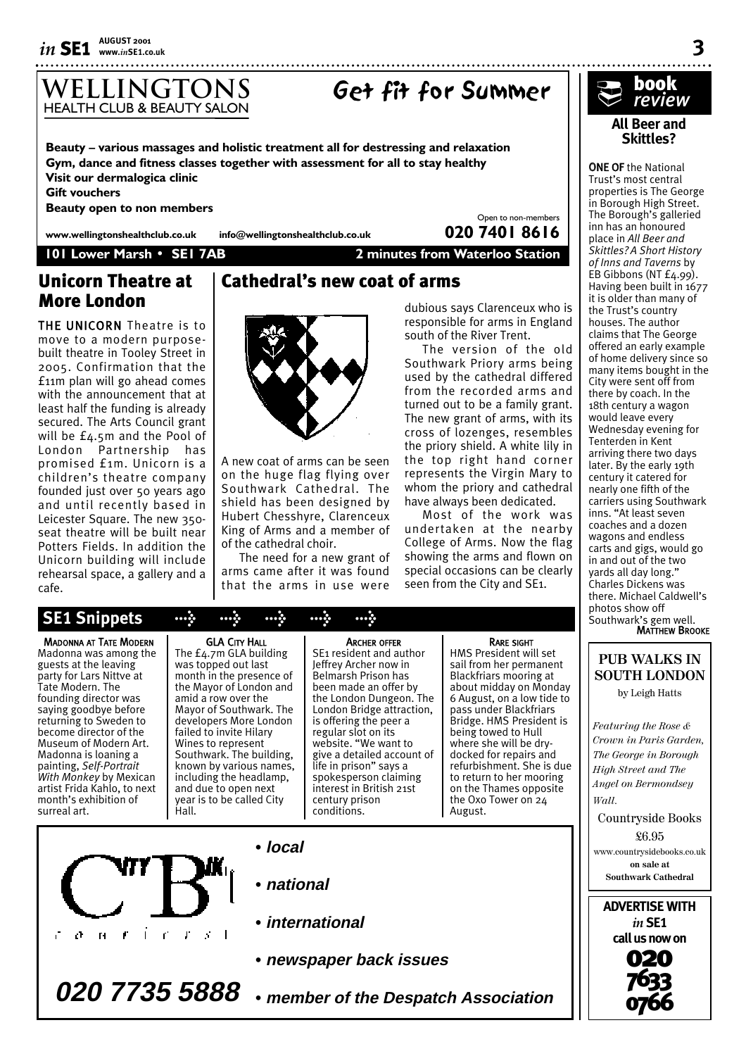*in* **SE1 AUGUST 2001 www.***in***SE1.co.uk**



**www.wellingtonshealthclub.co.uk info@wellingtonshealthclub.co.uk 020 7401 8616**

**101 Lower Marsh • SE1 7AB 2 minutes from Waterloo Station**

## **Cathedral's new coat of arms**

## **Unicorn Theatre at More London**

THE UNICORN Theatre is to move to a modern purposebuilt theatre in Tooley Street in 2005. Confirmation that the £11m plan will go ahead comes with the announcement that at least half the funding is already secured. The Arts Council grant will be £4.5m and the Pool of London Partnership has promised £1m. Unicorn is a children's theatre company founded just over 50 years ago and until recently based in Leicester Square. The new 350 seat theatre will be built near Potters Fields. In addition the Unicorn building will include rehearsal space, a gallery and a cafe.

A new coat of arms can be seen on the huge flag flying over Southwark Cathedral. The shield has been designed by Hubert Chesshyre, Clarenceux King of Arms and a member of of the cathedral choir.

The need for a new grant of arms came after it was found that the arms in use were

dubious says Clarenceux who is responsible for arms in England south of the River Trent.

The version of the old Southwark Priory arms being used by the cathedral differed from the recorded arms and turned out to be a family grant. The new grant of arms, with its cross of lozenges, resembles the priory shield. A white lily in the top right hand corner represents the Virgin Mary to whom the priory and cathedral have always been dedicated.

Most of the work was undertaken at the nearby College of Arms. Now the flag showing the arms and flown on special occasions can be clearly seen from the City and SE1.

# **book**<br>review

## **All Beer and Skittles?**

ONE OF the National Trust's most central properties is The George in Borough High Street. The Borough's galleried inn has an honoured place in *All Beer and Skittles? A Short History of Inns and Taverns* by EB Gibbons (NT £4.99). Having been built in 1677 it is older than many of the Trust's country houses. The author claims that The George offered an early example of home delivery since so many items bought in the City were sent off from there by coach. In the 18th century a wagon would leave every Wednesday evening for Tenterden in Kent arriving there two days later. By the early 19th century it catered for nearly one fifth of the carriers using Southwark inns. "At least seven coaches and a dozen wagons and endless carts and gigs, would go in and out of the two yards all day long." Charles Dickens was there. Michael Caldwell's photos show off Southwark's gem well.<br>MATTHEW BROOKE

## $SE1$  Snippets → جَسِب جَسِب جَسِد SE1

MADONNA AT TATE MODERN Madonna was among the guests at the leaving party for Lars Nittve at Tate Modern. The founding director was saying goodbye before returning to Sweden to become director of the Museum of Modern Art. Madonna is loaning a painting, *Self-Portrait With Monkey* by Mexican artist Frida Kahlo, to next month's exhibition of surreal art.

 $H - F$ 

z.

 $f = F - S$ 

**GLA CITY HALL** 

The £4.7m GLA building was topped out last month in the presence of the Mayor of London and amid a row over the Mayor of Southwark. The developers More London failed to invite Hilary Wines to represent Southwark. The building, known by various names, including the headlamp, and due to open next year is to be called City Hall.

**• local**

**• national**

**• international**

**020 7735 5888 • member of the Despatch Association**

**• newspaper back issues**

## ARCHER OFFER

SE1 resident and author Jeffrey Archer now in Belmarsh Prison has been made an offer by the London Dungeon. The London Bridge attraction, is offering the peer a regular slot on its website. "We want to give a detailed account of life in prison" says a spokesperson claiming interest in British 21st century prison conditions.

## RARE SIGHT

HMS President will set sail from her permanent Blackfriars mooring at about midday on Monday 6 August, on a low tide to pass under Blackfriars Bridge. HMS President is being towed to Hull where she will be drydocked for repairs and refurbishment. She is due to return to her mooring on the Thames opposite the Oxo Tower on 24 August.



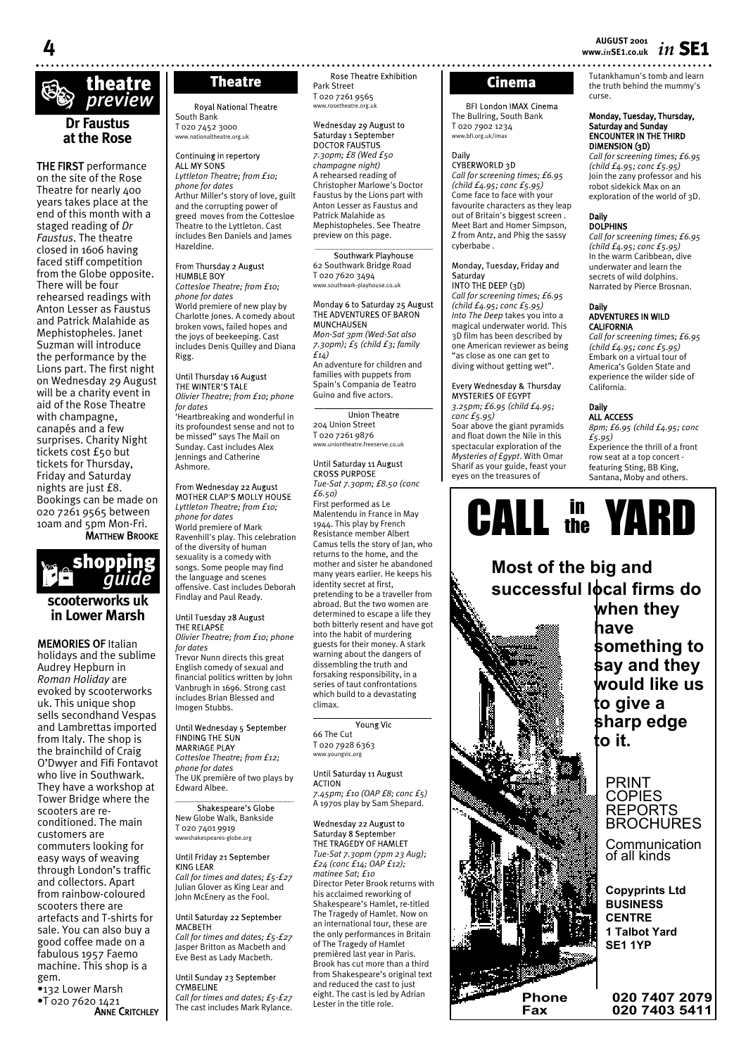

## **Dr Faustus at the Rose**

THE FIRST performance on the site of the Rose Theatre for nearly 400 years takes place at the end of this month with a staged reading of *Dr Faustus*. The theatre closed in 1606 having faced stiff competition from the Globe opposite. There will be four rehearsed readings with Anton Lesser as Faustus and Patrick Malahide as Mephistopheles. Janet Suzman will introduce the performance by the Lions part. The first night on Wednesday 29 August will be a charity event in aid of the Rose Theatre with champagne, canapés and a few surprises. Charity Night tickets cost £50 but tickets for Thursday, Friday and Saturday nights are just £8. Bookings can be made on 020 7261 9565 between 10am and 5pm Mon-Fri. **MATTHEW BROOKE** 



MEMORIES OF Italian holidays and the sublime Audrey Hepburn in *Roman Holiday* are evoked by scooterworks uk. This unique shop sells secondhand Vespas and Lambrettas imported from Italy. The shop is the brainchild of Craig O'Dwyer and Fifi Fontavot who live in Southwark. They have a workshop at Tower Bridge where the scooters are reconditioned. The main customers are commuters looking for easy ways of weaving through London's traffic and collectors. Apart from rainbow-coloured scooters there are artefacts and T-shirts for sale. You can also buy a good coffee made on a fabulous 1957 Faemo machine. This shop is a gem.

•132 Lower Marsh

• $T_{020}$  7620 1421<br>**ANNE CRITCHLEY** 

Royal National Theatre South Bank T 020 7452 3000 \_<br>eatre.org.uk

Continuing in repertory ALL MY SONS *Lyttleton Theatre; from £10; phone for dates* Arthur Miller's story of love, guilt and the corrupting power of greed moves from the Cottesloe Theatre to the Lyttleton. Cast includes Ben Daniels and James Hazeldine.

From Thursday 2 August HUMBLE BOY *Cottesloe Theatre; from £10; phone for dates* World premiere of new play by Charlotte Jones. A comedy about broken vows, failed hopes and the joys of beekeeping. Cast includes Denis Quilley and Diana Rigg.

Until Thursday 16 August THE WINTER'S TALE *Olivier Theatre; from £10; phone for dates* 'Heartbreaking and wonderful in its profoundest sense and not to be missed" says The Mail on Sunday. Cast includes Alex Jennings and Catherine Ashmore.

From Wednesday 22 August MOTHER CLAP'S MOLLY HOUSE *Lyttleton Theatre; from £10; phone for dates* .<br>World premiere of Mark Ravenhill's play. This celebration of the diversity of human sexuality is a comedy with songs. Some people may find the language and scenes offensive. Cast includes Deborah Findlay and Paul Ready.

Until Tuesday 28 August THE RELAPSE *Olivier Theatre; from £10; phone for dates* Trevor Nunn directs this great English comedy of sexual and financial politics written by John Vanbrugh in 1696. Strong cast includes Brian Blessed and Imogen Stubbs.

Until Wednesday 5 September FINDING THE SUN **MARRIAGE PLAY** *Cottesloe Theatre; from £12; phone for dates* The UK première of two plays by Edward Albee.

Shakespeare's Globe New Globe Walk, Bankside T 020 7401 9919 espeares-globe.org

Until Friday 21 September KING LEAR *Call for times and dates; £5-£27* Julian Glover as King Lear and John McEnery as the Fool.

Until Saturday 22 September MACBETH *Call for times and dates; £5-£27* Jasper Britton as Macbeth and Eve Best as Lady Macbeth.

Until Sunday 23 September CYMBELINE *Call for times and dates; £5-£27* The cast includes Mark Rylance.

**Theatre** Rose Theatre Exhibition Park Street

T 020 7261 9565 etheatre.org.u

Wednesday 29 August to Saturday 1 September DOCTOR FAUSTUS *7.30pm; £8 (Wed £50 champagne night)* A rehearsed reading of Christopher Marlowe's Doctor Faustus by the Lions part with Anton Lesser as Faustus and Patrick Malahide as Mephistopheles. See Theatre preview on this page. \_\_\_\_\_\_\_\_\_\_\_\_\_\_\_\_\_\_\_\_\_\_\_\_\_\_\_

Southwark Playhouse 62 Southwark Bridge Road T 020 7620 3494 www.southwark-playhouse.co.uk

#### Monday 6 to Saturday 25 August THE ADVENTURES OF BARON MUNCHAUSEN

*Mon-Sat 3pm (Wed-Sat also 7.30pm); £5 (child £3; family £14)*  An adventure for children and families with puppets from Spain's Compania de Teatro Guino and five actors.

Union Theatre 204 Union Street T 020 7261 9876 www.uniontheatre.freeserve.co.uk

#### Until Saturday 11 August CROSS PURPOSE

*Tue-Sat 7.30pm; £8.50 (conc £6.50)* First performed as Le Malentendu in France in May 1944. This play by French Resistance member Albert Camus tells the story of Jan, who returns to the home, and the mother and sister he abandoned many years earlier. He keeps his identity secret at first, pretending to be a traveller from abroad. But the two women are determined to escape a life they both bitterly resent and have got into the habit of murdering guests for their money. A stark warning about the dangers of

dissembling the truth and forsaking responsibility, in a series of taut confrontations which build to a devastating climax.

Young Vic 66 The Cut T 020 7928 6363 www.youngvic.org

Until Saturday 11 August ACTION *7.45pm; £10 (OAP £8; conc £5)* A 1970s play by Sam Shepard.

Wednesday 22 August to Saturday 8 September THE TRAGEDY OF HAMLET *Tue-Sat 7.30pm (7pm 23 Aug); £24 (conc £14; OAP £12); matinee Sat; £10* Director Peter Brook returns with his acclaimed reworking of Shakespeare's Hamlet, re-titled The Tragedy of Hamlet. Now on an international tour, these are the only performances in Britain of The Tragedy of Hamlet premièred last year in Paris. Brook has cut more than a third from Shakespeare's original text and reduced the cast to just eight. The cast is led by Adrian Lester in the title role.

## **Cinema**

BFI London IMAX Cinema The Bullring, South Bank T 020 7902 1234 ww.bfi.org.uk/imax

## Daily

CYBERWORLD 3D *Call for screening times; £6.95 (child £4.95; conc £5.95)*  Come face to face with your favourite characters as they leap out of Britain's biggest screen . Meet Bart and Homer Simpson, Z from Antz, and Phig the sassy cyberbabe .

Monday, Tuesday, Friday and Saturday

INTO THE DEEP (3D) *Call for screening times; £6.95 (child £4.95; conc £5.95) Into The Deep* takes you into a magical underwater world. This 3D film has been described by one American reviewer as being "as close as one can get to diving without getting wet".

Every Wednesday & Thursday MYSTERIES OF EGYPT *3.25pm; £6.95 (child £4.95; conc £5.95)*  Soar above the giant pyramids and float down the Nile in this spectacular exploration of the *Mysteries of Egypt*. With Omar Sharif as your guide, feast your eyes on the treasures of

#### Tutankhamun's tomb and learn the truth behind the mummy's curse.

## Monday, Tuesday, Thursday, Saturday and Sunday ENCOUNTER IN THE THIRD DIMENSION (3D)

*Call for screening times; £6.95 (child £4.95; conc £5.95)*  Join the zany professor and his robot sidekick Max on an exploration of the world of 3D.

## Daily DOLPHINS

*Call for screening times; £6.95 (child £4.95; conc £5.95)*  In the warm Caribbean, dive underwater and learn the secrets of wild dolphins. Narrated by Pierce Brosnan.

### Daily

#### ADVENTURES IN WILD CALIFORNIA

*Call for screening times; £6.95 (child £4.95; conc £5.95)*  Embark on a virtual tour of America's Golden State and experience the wilder side of California.

#### Daily ALL ACCESS

*8pm; £6.95 (child £4.95; conc £5.95)*  Experience the thrill of a front row seat at a top concert featuring Sting, BB King, Santana, Moby and others.



## **Most of the big and successful local firms do**



**when they have something to say and they would like us to give a sharp edge to it.**

PRINT **COPIES** REPORTS **BROCHURES** 

**Communication** of all kinds

**Copyprints Ltd BUSINESS CENTRE 1 Talbot Yard SE1 1YP**

**Phone 020 7407 2079 Fax 020 7403 5411**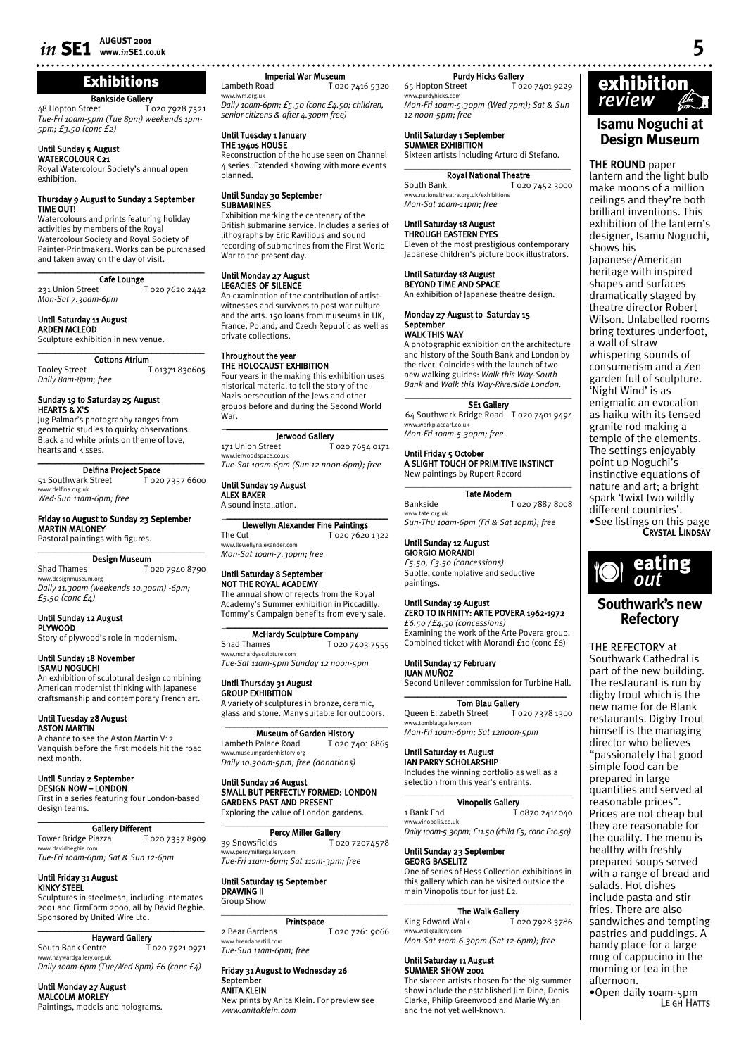## **Exhibitions**

## Bankside Gallery

48 Hopton Street T 020 7928 7521 *Tue-Fri 10am-5pm (Tue 8pm) weekends 1pm-5pm; £3.50 (conc £2)* 

#### Until Sunday 5 August WATERCOLOUR C21

Royal Watercolour Society's annual open exhibition.

#### Thursday 9 August to Sunday 2 September TIME OUT!

Watercolours and prints featuring holiday activities by members of the Royal Watercolour Society and Royal Society of Painter-Printmakers. Works can be purchased and taken away on the day of visit.  $\mathcal{L}_\text{max} = \mathcal{L}_\text{max} = \mathcal{L}_\text{max} = \mathcal{L}_\text{max} = \mathcal{L}_\text{max}$ 

## Cafe Lounge

231 Union Street T 020 7620 2442 *Mon-Sat 7.30am-6pm*

## Until Saturday 11 August ARDEN MCLEOD

Sculpture exhibition in new venue.

## Cottons Atrium

Tooley Street T 01371 830605 *Daily 8am-8pm; free*

#### Sunday 19 to Saturday 25 August HEARTS & X'S

Jug Palmar's photography ranges from geometric studies to quirky observations. Black and white prints on theme of love, hearts and kisses.

#### $\mathcal{L}_\text{max}$ Delfina Project Space

51 Southwark Street T 020 7357 6600 www.delfina.org.uk *Wed-Sun 11am-6pm; free*

## Friday 10 August to Sunday 23 September MARTIN MALONEY

Pastoral paintings with figures.

**Design Museum**<br>Shad Thames<br>To T 020 7940 8790 www.designmuseum.org *Daily 11.30am (weekends 10.30am) -6pm; £5.50 (conc £4)*

#### Until Sunday 12 August PLYWOOD

Story of plywood's role in modernism.

#### Until Sunday 18 November ISAMU NOGUCHI

An exhibition of sculptural design combining American modernist thinking with Japanese craftsmanship and contemporary French art.

#### Until Tuesday 28 August ASTON MARTIN

A chance to see the Aston Martin V12 Vanquish before the first models hit the road next month.

## Until Sunday 2 September DESIGN NOW – LONDON

First in a series featuring four London-based design teams.

## Gallery Different

Tower Bridge Piazza T 020 7357 8909 www.davidbegbie.com *Tue-Fri 10am-6pm; Sat & Sun 12-6pm* 

#### Until Friday 31 August KINKY STEEL

Sculptures in steelmesh, including Intemates 2001 and FirmForm 2000, all by David Begbie. Sponsored by United Wire Ltd.

#### Hayward Gallery

South Bank Centre T 020 7921 0971 w.haywardgallery.org.uk *Daily 10am-6pm (Tue/Wed 8pm) £6 (conc £4)*

#### Until Monday 27 August

MALCOLM MORLEY Paintings, models and holograms. Imperial War Museum

Lambeth Road T 020 7416 5320 www.iwm.org.uk *Daily 10am-6pm; £5.50 (conc £4.50; children, senior citizens & after 4.30pm free)*

## Until Tuesday 1 January THE 1940s HOUSE

Reconstruction of the house seen on Channel 4 series. Extended showing with more events planned.

## Until Sunday 30 September SUBMARINES

Exhibition marking the centenary of the British submarine service. Includes a series of lithographs by Eric Ravilious and sound recording of submarines from the First World War to the present day.

#### Until Monday 27 August LEGACIES OF SILENCE

An examination of the contribution of artistwitnesses and survivors to post war culture and the arts. 150 loans from museums in UK, France, Poland, and Czech Republic as well as private collections.

#### Throughout the year THE HOLOCAUST EXHIBITION

Four years in the making this exhibition uses historical material to tell the story of the Nazis persecution of the Jews and other groups before and during the Second World War.

#### $\mathcal{L}_\text{max}$ Jerwood Gallery 171 Union Street T 020 7654 0171 www.jerwoodspace.co.uk

*Tue-Sat 10am-6pm (Sun 12 noon-6pm); free* Until Sunday 19 August

## ALEX BAKER A sound installation.

Llewellyn Alexander Fine Paintings The Cut T 020 7620 1322 www.llewellynalexander.com *Mon-Sat 10am-7.30pm; free*

## Until Saturday 8 September

NOT THE ROYAL ACADEMY The annual show of rejects from the Royal Academy's Summer exhibition in Piccadilly. Tommy's Campaign benefits from every sale.

McHardy Sculpture Company Shad Thames T 020 7403 7555 www.mchardysculpture.com *Tue-Sat 11am-5pm Sunday 12 noon-5pm*

#### Until Thursday 31 August GROUP EXHIBITION

A variety of sculptures in bronze, ceramic, glass and stone. Many suitable for outdoors.  $\mathcal{L}_\text{max}$  and  $\mathcal{L}_\text{max}$  and  $\mathcal{L}_\text{max}$  and  $\mathcal{L}_\text{max}$ Museum of Garden History

Lambeth Palace Road T 020 7401 8865 museumgardenhistory.org *Daily 10.30am-5pm; free (donations)*

Until Sunday 26 August SMALL BUT PERFECTLY FORMED: LONDON GARDENS PAST AND PRESENT

Exploring the value of London gardens. \_\_\_\_\_\_\_\_\_\_\_\_\_\_\_\_\_\_\_\_\_\_\_\_\_\_\_\_\_\_\_\_\_\_\_\_\_\_ Percy Miller Gallery

39 Snowsfields T 020 72074578

,<br>vw.percymillergallery.com *Tue-Fri 11am-6pm; Sat 11am-3pm; free*

#### Until Saturday 15 September DRAWING II

Group Show  $\mathcal{L}_\text{max} = \mathcal{L}_\text{max} = \mathcal{L}_\text{max} = \mathcal{L}_\text{max} = \mathcal{L}_\text{max}$ 

#### **Printspace** 2 Bear Gardens T 020 7261 9066 www.brendahartill.com

*Tue-Sun 11am-6pm; free*

#### Friday 31 August to Wednesday 26 **September**

ANITA KLEIN New prints by Anita Klein. For preview see *www.anitaklein.com*

## Purdy Hicks Gallery

65 Hopton Street T 020 7401 9229 www.purdyhicks.com *Mon-Fri 10am-5.30pm (Wed 7pm); Sat & Sun*

*12 noon-5pm; free*

## Until Saturday 1 September SUMMER EXHIBITION

Sixteen artists including Arturo di Stefano.<br>.

Royal National Theatre<br>South Bank To20 T 020 7452 3000 www.nationaltheatre.org.uk/exhibitions *Mon-Sat 10am-11pm; free*

#### Until Saturday 18 August

THROUGH EASTERN EYES Eleven of the most prestigious contemporary Japanese children's picture book illustrators.

#### Until Saturday 18 August

BEYOND TIME AND SPACE An exhibition of Japanese theatre design.

Monday 27 August to Saturday 15 September WALK THIS WAY

A photographic exhibition on the architecture and history of the South Bank and London by the river. Coincides with the launch of two new walking guides: *Walk this Way-South Bank* and *Walk this Way-Riverside London.*

## SE<sub>1</sub> Gallery

64 Southwark Bridge Road T 020 7401 9494 .<br>www.workplaceart.co.uk *Mon-Fri 10am-5.30pm; free*

Until Friday 5 October A SLIGHT TOUCH OF PRIMITIVE INSTINCT New paintings by Rupert Record<br>

#### Tate Modern

**Southwark's new Refectory**

**eating** ‰ *out*

**exhibition** *review* |

**Isamu Noguchi at Design Museum**

THE ROUND paper lantern and the light bulb make moons of a million ceilings and they're both brilliant inventions. This exhibition of the lantern's designer, Isamu Noguchi,

Japanese/American heritage with inspired shapes and surfaces dramatically staged by theatre director Robert Wilson. Unlabelled rooms bring textures underfoot,

a wall of straw whispering sounds of consumerism and a Zen garden full of sculpture. 'Night Wind' is as enigmatic an evocation as haiku with its tensed granite rod making a temple of the elements. The settings enjoyably point up Noguchi's instinctive equations of nature and art; a bright spark 'twixt two wildly different countries'. •See listings on this page<br>•See listings on this page<br>CRYSTAL LINDSAY

shows his

THE REFECTORY at Southwark Cathedral is part of the new building. .<br>The restaurant is run by digby trout which is the new name for de Blank restaurants. Digby Trout himself is the managing director who believes "passionately that good simple food can be prepared in large quantities and served at reasonable prices". Prices are not cheap but they are reasonable for the quality. The menu is healthy with freshly prepared soups served with a range of bread and salads. Hot dishes include pasta and stir fries. There are also sandwiches and tempting pastries and puddings. A handy place for a large mug of cappucino in the morning or tea in the

afternoon.

•Open daily 10am-5pm LEIGH HATTS

Bankside T 020 7887 8008 www.tate.org.uk *Sun-Thu 10am-6pm (Fri & Sat 10pm); free*

#### Until Sunday 12 August

GIORGIO MORANDI *£5.50, £3.50 (concessions)* Subtle, contemplative and seductive paintings.

#### Until Sunday 19 August

ZERO TO INFINITY: ARTE POVERA 1962-1972 *£6.50 / £4.50 (concessions)*  Examining the work of the Arte Povera group. Combined ticket with Morandi £10 (conc £6)

#### Until Sunday 17 February

JUAN MUÑOZ Second Unilever commission for Turbine Hall.  $\mathcal{L}_\text{max}$ 

## Tom Blau Gallery

Queen Elizabeth Street To20 7378 1300 www.tomblaugallery.com *Mon-Fri 10am-6pm; Sat 12noon-5pm*

## Until Saturday 11 August IAN PARRY SCHOLARSHIP

Includes the winning portfolio as well as a selection from this year's entrants.

#### Vinopolis Gallery 1 Bank End T 0870 2414040

www.vinopolis.co.uk

*Daily 10am-5.30pm; £11.50 (child £5; conc £10.50)*

One of series of Hess Collection exhibitions in this gallery which can be visited outside the

The Walk Gallery King Edward Walk T 020 7928 3786

The sixteen artists chosen for the big summer show include the established Jim Dine, Denis Clarke, Philip Greenwood and Marie Wylan

*Mon-Sat 11am-6.30pm (Sat 12-6pm); free*

#### Until Sunday 23 September GEORG BASELITZ

main Vinopolis tour for just £2.

walkgallery.com

Until Saturday 11 August SUMMER SHOW 2001

and the not yet well-known.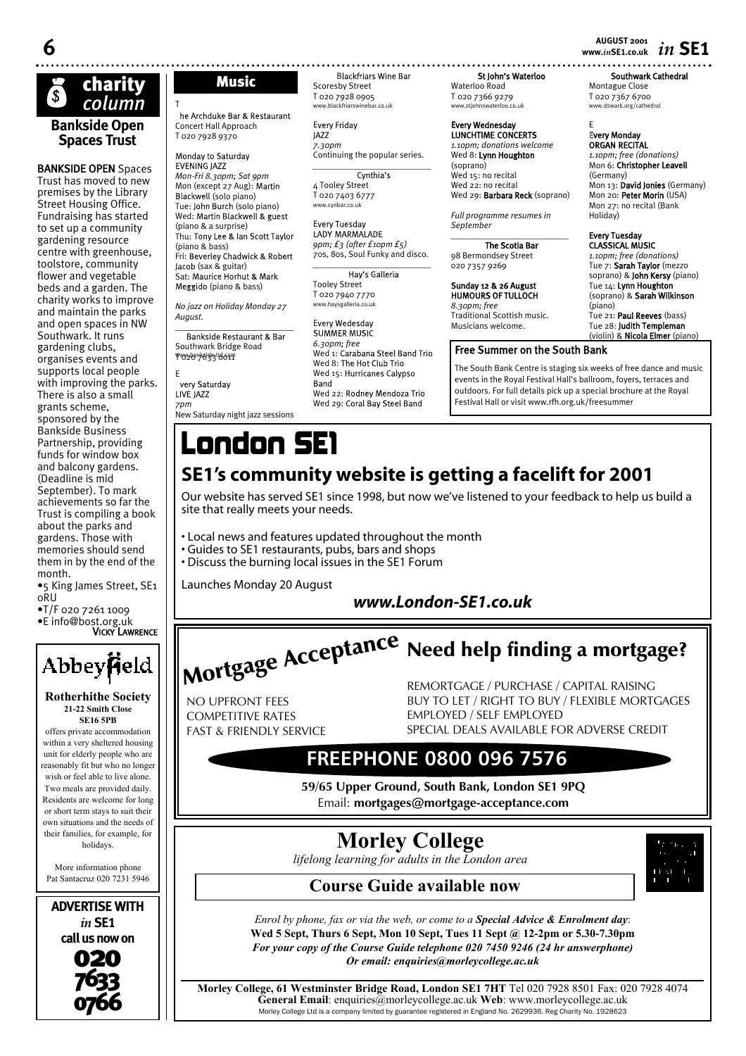

## BANKSIDE OPEN Spaces

Trust has moved to new premises by the Library .<br>Street Housing Office. Fundraising has started to set up a community gardening resource centre with greenhouse, toolstore, community flower and vegetable beds and a garden. The charity works to improve and maintain the parks and open spaces in NW Southwark. It runs gardening clubs, organises events and supports local people with improving the parks. There is also a small grants scheme, sponsored by the Bankside Business Partnership, providing funds for window box and balcony gardens. (Deadline is mid September). To mark achievements so far the Trust is compiling a book about the parks and gardens. Those with memories should send them in by the end of the month.

•5 King James Street, SE1 0RU

•T/F 020 7261 1009 •E info@bost.org.uk<br>VICKY LAWRENCE



#### **Rotherhithe Society 21-22 Smith Close SE16 5PB**

offers private accommodation within a very sheltered housing unit for elderly people who are reasonably fit but who no longer wish or feel able to live alone. Two meals are provided daily. Residents are welcome for long or short term stays to suit their own situations and the needs of their families, for example, for holidays.

More information phone Pat Santacruz 020 7231 5946



T The Archduke Bar & Restaurant Concert Hall Approach T 020 7928 9370

Monday to Saturday EVENING JAZZ *Mon-Fri 8.30pm; Sat 9pm* Mon (except 27 Aug): Martin Blackwell (solo piano) Tue: John Burch (solo piano) Wed: Martin Blackwell & guest (piano & a surprise) Thu: Tony Lee & Ian Scott Taylor (piano & bass) Fri: Beverley Chadwick & Robert Jacob (sax & guitar) Sat: Maurice Horhut & Mark Meggido (piano & bass)

*No jazz on Holiday Monday 27 August.*

 $\mathcal{L}$  , we have the set of the set of the set of the set of the set of the set of the set of the set of the set of the set of the set of the set of the set of the set of the set of the set of the set of the set of the Bankside Restaurant & Bar Southwark Bridge Road Two2013693t6691

E Every Saturday LIVE JAZZ *7pm*

New Saturday night jazz sessions

. . . . . . . . . . . . . . . . . . . . **Music** Blackfriars Wine Bar Scoresby Street T 020 7928 0905 www.blackfriarswinebar.co.uk

> Every Friday JAZZ *7.30pm* Continuing the popular series.

Cynthia's 4 Tooley Street T 020 7403 6777 www.cynbar.co.uk

Every Tuesday LADY MARMALADE *9pm; £3 (after £10pm £5)* 70s, 80s, Soul Funky and disco. *\_\_\_\_\_\_\_\_\_\_\_\_\_\_\_\_\_\_\_\_\_\_\_\_\_\_\_*

Hay's Galleria Tooley Street T 020 7940 7770 www.haysgalleria.co.uk

Every Wedesday SUMMER MUSIC *6.30pm; free* Wed 1: Carabana Steel Band Trio Wed 8: The Hot Club Trio Wed 15: Hurricanes Calypso Band Wed 22: Rodney Mendoza Trio Wed 29: Coral Bay Steel Band

St John's Waterloo Waterloo Road T 020 7366 9279 www.stjohnswaterloo.co.uk

#### Every Wednesday LUNCHTIME CONCERTS

*1.10pm; donations welcome* Wed 8: Lynn Houghton (soprano) Wed 15: no recital Wed 22: no recital Wed 29: Barbara Reck (soprano)

*Full programme resumes in September*

The Scotia Bar 98 Bermondsey Street 020 7357 9269

Sunday 12 & 26 August HUMOURS OF TULLOCH *8.30pm; free* Traditional Scottish music. Musicians welcome.

## Free Summer on the South Bank

events in the Royal Festival Hall's ballroom, foyers, terraces and outdoors. For full details pick up a special brochure at the Royal Festival Hall or visit www.rfh.org.uk/freesummer

# **London SE1**

## **SE1's community website is getting a facelift for 2001**

Our website has served SE1 since 1998, but now we've listened to your feedback to help us build a site that really meets your needs.

- Local news and features updated throughout the month
- Guides to SE1 restaurants, pubs, bars and shops
- Discuss the burning local issues in the SE1 Forum

Launches Monday 20 August

## *www.London-SE1.co.uk*

**Mortgage Acceptance Need help finding a mortgage?**

NO UPFRONT FEES COMPETITIVE RATES FAST & FRIENDLY SERVICE REMORTGAGE / PURCHASE / CAPITAL RAISING BUY TO LET / RIGHT TO BUY / FLEXIBLE MORTGAGES EMPLOYED / SELF EMPLOYED SPECIAL DEALS AVAILABLE FOR ADVERSE CREDIT

## **FREEPHONE 0800 096 7576**

**59/65 Upper Ground, South Bank, London SE1 9PQ** Email: **mortgages@mortgage-acceptance.com**

**Morley College**

lifelong learning for adults in the London area



## **Course Guide available now**

Enrol by phone, fax or via the web, or come to a **Special Advice & Enrolment day**: **Wed 5 Sept, Thurs 6 Sept, Mon 10 Sept, Tues 11 Sept @ 12-2pm or 5.30-7.30pm For your copy of the Course Guide telephone 020 7450 9246 (24 hr answerphone) Or email: enquiries@morleycollege.ac.uk** 

**Morley College, 61 Westminster Bridge Road, London SE1 7HT** Tel 020 7928 8501 Fax: 020 7928 4074 **General Email**: enquiries@morleycollege.ac.uk **Web**: www.morleycollege.ac.uk Morley College Ltd is a company limited by guarantee registered in England No. 2629936. Reg Charity No. 1928623

**AUGUST 2001 www.***in***SE1.co.uk**  $\overline{6}$  **august 2001** *in*  $\overline{5}$ **E1** 

> Southwark Cathedral Montague Close T 020 7367 6700 .<br>rk.org/cathedral

E Every Monday

ORGAN RECITAL *1.10pm; free (donations)* Mon 6: Christopher Leavell (Germany)

Mon 13: David Jonies (Germany) Mon 20: Peter Morin (USA) Mon 27: no recital (Bank Holiday)

## Every Tuesday CLASSICAL MUSIC

*1.10pm; free (donations)* Tue 7: Sarah Taylor (mezzo soprano) & **John Kersy** (piano) Tue 14: Lynn Houghton (soprano) & Sarah Wilkinson (piano) Tue 21: Paul Reeves (bass) Tue 28: **Judith Templeman** 

(violin) & Nicola Elmer (piano)

The South Bank Centre is staging six weeks of free dance and music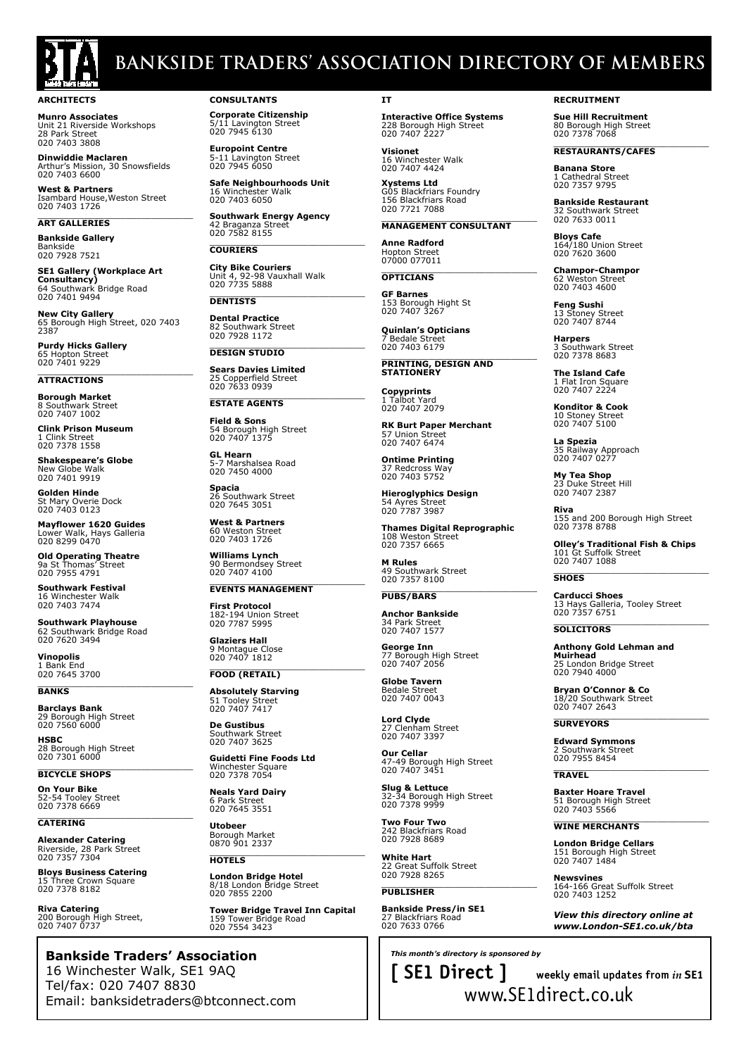

## **Bankside TRADERs' Association DIRECTORY of MEMBERS**

**ARCHITECTS**

**Munro Associates** Unit 21 Riverside Workshops 28 Park Street 020 7403 3808

**Dinwiddie Maclaren**<br>Arthur's Mission, 30 Snowsfields<br>020 7403 6600

**West & Partners** Isambard House,Weston Street<br>020 7403 1726

**ART GALLERIES**

**Bankside Gallery** Bankside 020 7928 7521

**SE1 Gallery (Workplace Art Consultancy)** 64 Southwark Bridge Road 020 7401 9494

**New City Gallery**<br>65 Borough High Street, 020 7403<br>2387

**Purdy Hicks Gallery** 65 Hopton Street 020 7401 9229

\_\_\_\_\_\_\_\_\_\_\_\_\_\_\_\_\_\_\_\_\_\_\_\_\_\_\_\_\_\_ **ATTRACTIONS**

**Borough Market** 8 Southwark Street 020 7407 1002

**Clink Prison Museum** 1 Clink Street 020 7378 1558

**Shakespeare's Globe** New Globe Walk 020 7401 9919

**Golden Hinde** St Mary Overie Dock 020 7403 0123

**Mayflower 1620 Guides** Lower Walk, Hays Galleria 020 8299 0470

**Old Operating Theatre** 9a St Thomas' Street 020 7955 4791

**Southwark Festival** 16 Winchester Walk 020 7403 7474

**Southwark Playhouse** 62 Southwark Bridge Road 020 7620 3494

**Vinopolis** Bank End 020 7645 3700

\_\_\_\_\_\_\_\_\_\_\_\_\_\_\_\_\_\_\_\_\_\_\_\_\_\_\_\_\_\_ **BANKS**

**Barclays Bank** 29 Borough High Street 020 7560 6000 **HSBC**

28 Borough High Street 020 7301 6000

\_\_\_\_\_\_\_\_\_\_\_\_\_\_\_\_\_\_\_\_\_\_\_\_\_\_\_\_\_\_ **BICYCLE SHOPS**

**On Your Bike** 52-54 Tooley Street 020 7378 6669

**CATERING**

**Alexander Catering** Riverside, 28 Park Street 020 7357 7304

**Bloys Business Catering** 15 Three Crown Square 020 7378 8182

**Riva Catering**<br>200 Borough High Street,<br>020 7407 0737

## **Bankside Traders' Association**

16 Winchester Walk, SE1 9AQ Tel/fax: 020 7407 8830 Email: banksidetraders@btconnect.com

## **CONSULTANTS**

**Corporate Citizenship**  5/11 Lavington Street 020 7945 6130

**Europoint Centre** 5-11 Lavington Street 020 7945 6050

**Safe Neighbourhoods Unit** 16 Winchester Walk 020 7403 6050

**Southwark Energy Agency** 42 Braganza Street 020 7582 8155

\_\_\_\_\_\_\_\_\_\_\_\_\_\_\_\_\_\_\_\_\_\_\_\_\_\_\_\_\_\_ **COURIERS**

**City Bike Couriers**<br>Unit 4, 92-98 Vauxhall Walk<br>020 7735 5888

**DENTISTS Dental Practice** 82 Southwark Street 020 7928 1172

\_\_\_\_\_\_\_\_\_\_\_\_\_\_\_\_\_\_\_\_\_\_\_\_\_\_\_\_\_\_ **DESIGN STUDIO**

**Sears Davies Limited** 25 Copperfield Street 020 7633 0939

\_\_\_\_\_\_\_\_\_\_\_\_\_\_\_\_\_\_\_\_\_\_\_\_\_\_\_\_\_\_ **ESTATE AGENTS**

**Field & Sons** 54 Borough High Street 020 7407 1375

**GL Hearn** 5-7 Marshalsea Road 020 7450 4000

**Spacia** 26 Southwark Street 020 7645 3051

**West & Partners** 60 Weston Street 020 7403 1726

**Williams Lynch** 90 Bermondsey Street 020 7407 4100

\_\_\_\_\_\_\_\_\_\_\_\_\_\_\_\_\_\_\_\_\_\_\_\_\_\_\_\_\_\_ **EVENTS MANAGEMENT First Protocol**

182-194 Union Street 020 7787 5995

**Glaziers Hall** 9 Montague Close 020 7407 1812

#### **FOOD (RETAIL)**

**Absolutely Starving** 51 Tooley Street 020 7407 7417

**De Gustibus** Southwark Street 020 7407 3625

**Guidetti Fine Foods Ltd** Winchester Square 020 7378 7054

**Neals Yard Dairy** 6 Park Street 020 7645 3551

**Utobeer** Borough Market 0870 901 2337  $\overline{\phantom{a}}$  , and the set of the set of the set of the set of the set of the set of the set of the set of the set of the set of the set of the set of the set of the set of the set of the set of the set of the set of the s

**HOTELS**

**London Bridge Hotel** 8/18 London Bridge Street 020 7855 2200

**Tower Bridge Travel Inn Capital** 159 Tower Bridge Road 020 7554 3423

### **IT**

**Interactive Office Systems** 228 Borough High Street 020 7407 2227

**Visionet** 16 Winchester Walk 020 7407 4424

**Xystems Ltd** G05 Blackfriars Foundry 156 Blackfriars Road 020 7721 7088

## \_\_\_\_\_\_\_\_\_\_\_\_\_\_\_\_\_\_\_\_\_\_\_\_\_\_\_\_\_\_ **MANAGEMENT CONSULTANT**

**Anne Radford** Hopton Street 07000 077011

#### $\overline{\phantom{a}}$  , and the set of the set of the set of the set of the set of the set of the set of the set of the set of the set of the set of the set of the set of the set of the set of the set of the set of the set of the s **OPTICIANS**

**GF Barnes** 153 Borough Hight St 020 7407 3267

**Quinlan's Opticians Bedale Street** 020 7403 6179

\_\_\_\_\_\_\_\_\_\_\_\_\_\_\_\_\_\_\_\_\_\_\_\_\_\_\_\_\_\_ **PRINTING, DESIGN AND STATIONERY**

**Copyprints** 1 Talbot Yard 020 7407 2079

**RK Burt Paper Merchant** 57 Union Street 020 7407 6474

**Ontime Printing** 37 Redcross Way 020 7403 5752

**Hieroglyphics Design** 54 Ayres Street 020 7787 3987

**Thames Digital Reprographic** 108 Weston Street 020 7357 6665

**M Rules** 49 Southwark Street 020 7357 8100

\_\_\_\_\_\_\_\_\_\_\_\_\_\_\_\_\_\_\_\_\_\_\_\_\_\_\_\_\_\_ **PUBS/BARS**

**Anchor Bankside** 34 Park Street 020 7407 1577

**George Inn** 77 Borough High Street 020 7407 2056

**Globe Tavern** Bedale Street 020 7407 0043

**Lord Clyde** 27 Clenham Street 020 7407 3397

**Our Cellar** 47-49 Borough High Street 020 7407 3451

**Slug & Lettuce** 32-34 Borough High Street 020 7378 9999

**Two Four Two** 242 Blackfriars Road 020 7928 8689

**White Hart** 22 Great Suffolk Street 020 7928 8265

#### **PUBLISHER**

**Bankside Press/in SE1** 27 Blackfriars Road 020 7633 0766

*This month's directory is sponsored by*

**RECRUITMENT**

**Sue Hill Recruitment** 80 Borough High Street 020 7378 7068

\_\_\_\_\_\_\_\_\_\_\_\_\_\_\_\_\_\_\_\_\_\_\_\_\_\_\_\_\_\_ **RESTAURANTS/CAFES**

**Banana Store** 1 Cathedral Street 020 7357 9795

**Bankside Restaurant** 32 Southwark Street 020 7633 0011

**Bloys Cafe** 164/180 Union Street 020 7620 3600

**Champor-Champor** 62 Weston Street 020 7403 4600

**Feng Sushi**  13 Stoney Street 020 7407 8744

**Harpers** 3 Southwark Street 020 7378 8683

**The Island Cafe** 1 Flat Iron Square 020 7407 2224

**Konditor & Cook** 10 Stoney Street 020 7407 5100

**La Spezia** 35 Railway Approach 020 7407 0277

**My Tea Shop** 23 Duke Street Hill 020 7407 2387

020 7378 8788

101 Gt Suffolk Street 020 7407 1088

**Carducci Shoes**

**SOLICITORS**

155 and 200 Borough High Street

**Olley's Traditional Fish & Chips**

13 Hays Galleria, Tooley Street 020 7357 6751

**Anthony Gold Lehman and Muirhead**<br>25 London Bridge Street<br>020 7940 4000

**Bryan O'Connor & Co** 18/20 Southwark Street 020 7407 2643

**Edward Symmons** 2 Southwark Street 020 7955 8454 **TRAVEL**

**Baxter Hoare Travel** 51 Borough High Street 020 7403 5566

**WINE MERCHANTS London Bridge Cellars** 151 Borough High Street 020 7407 1484

164-166 Great Suffolk Street 020 7403 1252 *View this directory online at www.London-SE1.co.uk/bta*

**Newsvines**

**[ SE1 Direct ] weekly email updates from** *in* **SE1** www.SE1direct.co.uk

 $\mathcal{L}_\text{max}$  and  $\mathcal{L}_\text{max}$  and  $\mathcal{L}_\text{max}$  and  $\mathcal{L}_\text{max}$ 

\_\_\_\_\_\_\_\_\_\_\_\_\_\_\_\_\_\_\_\_\_\_\_\_\_\_\_\_\_\_ **SURVEYORS**

 $\mathcal{L}_\text{max}$  and  $\mathcal{L}_\text{max}$  are the set of the set of the set of the set of the set of the set of the set of the set of the set of the set of the set of the set of the set of the set of the set of the set of the set o

**Riva**

**SHOES**